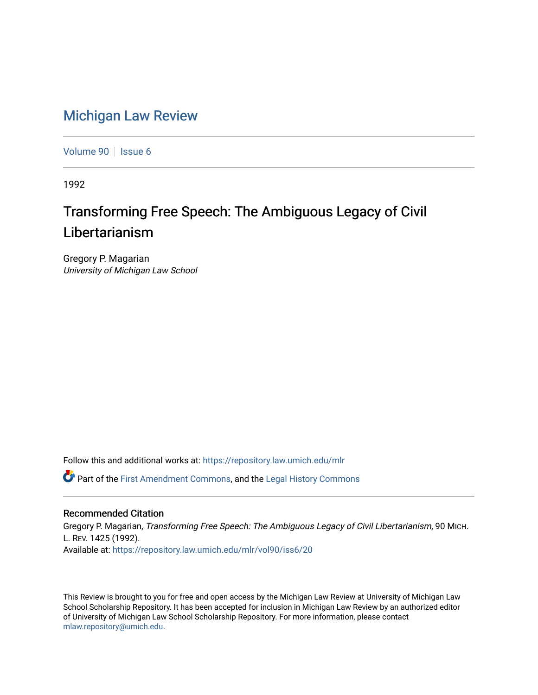## [Michigan Law Review](https://repository.law.umich.edu/mlr)

[Volume 90](https://repository.law.umich.edu/mlr/vol90) | [Issue 6](https://repository.law.umich.edu/mlr/vol90/iss6)

1992

## Transforming Free Speech: The Ambiguous Legacy of Civil Libertarianism

Gregory P. Magarian University of Michigan Law School

Follow this and additional works at: [https://repository.law.umich.edu/mlr](https://repository.law.umich.edu/mlr?utm_source=repository.law.umich.edu%2Fmlr%2Fvol90%2Fiss6%2F20&utm_medium=PDF&utm_campaign=PDFCoverPages) 

 $\bullet$  Part of the [First Amendment Commons,](http://network.bepress.com/hgg/discipline/1115?utm_source=repository.law.umich.edu%2Fmlr%2Fvol90%2Fiss6%2F20&utm_medium=PDF&utm_campaign=PDFCoverPages) and the Legal History Commons

## Recommended Citation

Gregory P. Magarian, Transforming Free Speech: The Ambiguous Legacy of Civil Libertarianism, 90 MICH. L. REV. 1425 (1992). Available at: [https://repository.law.umich.edu/mlr/vol90/iss6/20](https://repository.law.umich.edu/mlr/vol90/iss6/20?utm_source=repository.law.umich.edu%2Fmlr%2Fvol90%2Fiss6%2F20&utm_medium=PDF&utm_campaign=PDFCoverPages) 

This Review is brought to you for free and open access by the Michigan Law Review at University of Michigan Law School Scholarship Repository. It has been accepted for inclusion in Michigan Law Review by an authorized editor of University of Michigan Law School Scholarship Repository. For more information, please contact [mlaw.repository@umich.edu.](mailto:mlaw.repository@umich.edu)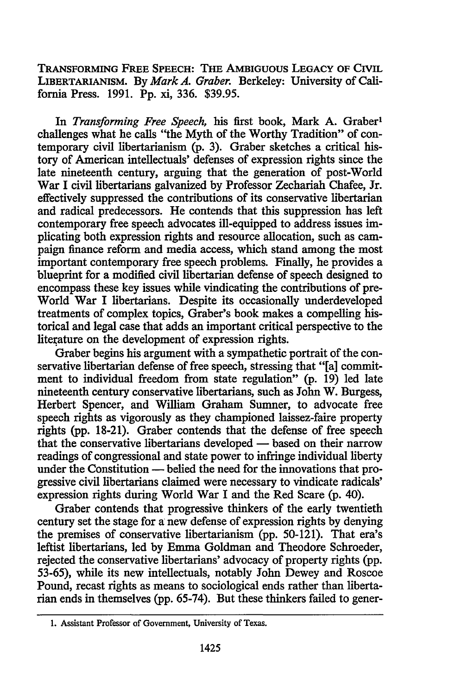TRANSFORMING FREE SPEECH: THE AMBIGUOUS LEGACY OF CIVIL LIBERTARIANISM. By *Mark A. Graber.* Berkeley: University of California Press. 1991. Pp. xi, 336. \$39.95.

In *Transforming Free Speech,* his first book, Mark A. Graber<sup>1</sup> challenges what he calls "the Myth of the Worthy Tradition" of contemporary civil libertarianism (p. 3). Graber sketches a critical history of American intellectuals' defenses of expression rights since the late nineteenth century, arguing that the generation of post-World War I civil libertarians galvanized by Professor Zechariah Chafee, Jr. effectively suppressed the contributions of its conservative libertarian and radical predecessors. He contends that this suppression has left contemporary free speech advocates ill-equipped to address issues implicating both expression rights and resource allocation, such as campaign finance reform and media access, which stand among the most important contemporary free speech problems. Finally, he provides a blueprint for a modified civil libertarian defense of speech designed to encompass these key issues while vindicating the contributions of pre-World War I libertarians. Despite its occasionally underdeveloped treatments of complex topics, Graber's book makes a compelling historical and legal case that adds an important critical perspective to the literature on the development of expression rights.

Graber begins his argument with a sympathetic portrait of the conservative libertarian defense of free speech, stressing that "[a] commitment to individual freedom from state regulation" (p. 19) led late nineteenth century conservative libertarians, such as John W. Burgess, Herbert Spencer, and William Graham Sumner, to advocate free speech rights as vigorously as they championed laissez-faire property rights (pp. 18-21). Graber contends that the defense of free speech that the conservative libertarians developed  $-$  based on their narrow readings of congressional and state power to infringe individual liberty under the Constitution — belied the need for the innovations that progressive civil libertarians claimed were necessary to vindicate radicals' expression rights during World War I and the Red Scare (p. 40).

Graber contends that progressive thinkers of the early twentieth century set the stage for a· new defense of expression rights by denying the premises of conservative libertarianism (pp. 50-121). That era's leftist libertarians, led by Emma Goldman and Theodore Schroeder, rejected the conservative libertarians' advocacy of property rights (pp. 53-65), while its new intellectuals, notably John Dewey and Roscoe Pound, recast rights as means to sociological ends rather than libertarian ends in themselves (pp. 65-74). But these thinkers failed to gener-

<sup>1.</sup> Assistant Professor of Government, University of Texas.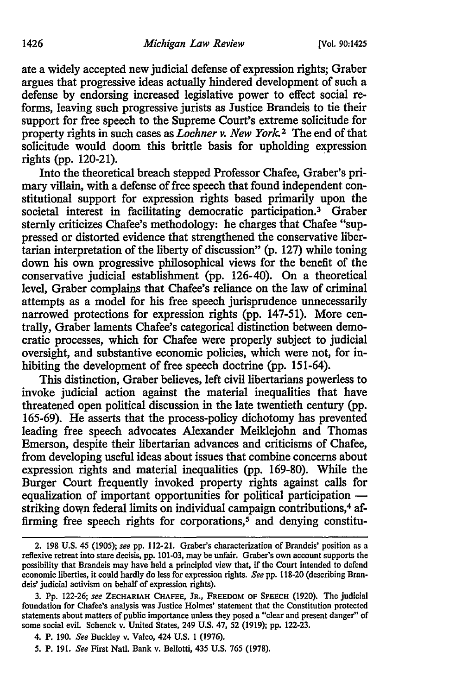ate a widely accepted new judicial defense of expression rights; Graber argues that progressive ideas actually hindered development of such a defense by endorsing increased legislative power to effect social reforms, leaving such progressive jurists as Justice Brandeis to tie their support for free speech to the Supreme Court's extreme solicitude for property rights in such cases as *Lochner v. New York* 2 The end of that solicitude would doom this brittle basis for upholding expression rights (pp. 120-21).

Into the theoretical breach stepped Professor Chafee, Graber's primary villain, with a defense of free speech that found independent constitutional support for expression rights based primarily upon the societal interest in facilitating democratic participation.<sup>3</sup> Graber sternly criticizes Chafee's methodology: he charges that Chafee "suppressed or distorted evidence that strengthened the conservative libertarian interpretation of the liberty of discussion" (p. 127) while toning down his own progressive philosophical views for the benefit of the conservative judicial establishment (pp. 126-40). On a theoretical level, Graber complains that Chafee's reliance on the law of criminal attempts as a model for his free speech jurisprudence unnecessarily narrowed protections for expression rights (pp. 147-51). More centrally, Graber laments Chafee's categorical distinction between democratic processes, which for Chafee were properly subject to judicial oversight, and substantive economic policies, which were not, for inhibiting the development of free speech doctrine (pp. 151-64).

This distinction, Graber believes, left civil libertarians powerless to invoke judicial action against the material inequalities that have threatened open political discussion in the late twentieth century (pp. 165-69). He asserts that the process-policy dichotomy has prevented leading free speech advocates Alexander Meiklejohn and Thomas Emerson, despite their libertarian advances and criticisms of Chafee, from developing useful ideas about issues that combine concerns about expression rights and material inequalities (pp. 169-80). While the Burger Court frequently invoked property rights against calls for equalization of important opportunities for political participation  $$ striking down federal limits on individual campaign contributions, 4 affirming free speech rights for corporations,<sup>5</sup> and denying constitu-

<sup>2. 198</sup> U.S. 45 (1905); *see* pp. 112-21. Graber's characterization of Brandeis' position as a reflexive retreat into stare decisis, pp. 101.03, may be unfair. Graber's own account supports the possibility that Brandeis may have held a principled view that, if the Court intended to defend economic liberties, it could hardly do less for expression rights. *See* pp. 118-20 (describing Brandeis' judicial activism on behalf of expression rights).

<sup>3.</sup> Pp. 122-26; *see* ZECHARIAH CHAFEE, JR., FREEDOM OF SPEECH (1920). The judicial foundation for Chafee's analysis was Justice Holmes' statement that the Constitution protected statements about matters of public importance unless they posed a "clear and present danger" of some social evil. Schenck v. United States, 249 U.S. 47, 52 (1919); pp. 122-23.

<sup>4.</sup> P. 190. *See* Buckley v. Valeo, 424 U.S. 1 (1976).

<sup>5.</sup> P. 191. *See* First Natl. Bank v. Bellotti, 435 U.S. 765 (1978).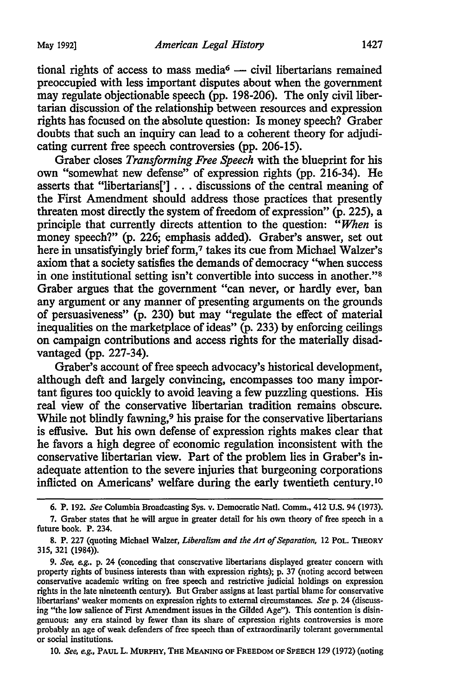tional rights of access to mass media<sup>6</sup> - civil libertarians remained preoccupied with less important disputes about when the government may regulate objectionable speech (pp. 198-206). The only civil libertarian discussion of the relationship between resources and expression rights has focused on the absolute question: Is money speech? Graber doubts that such an inquiry can lead to a coherent theory for adjudicating current free speech controversies (pp. 206-15).

Graber closes *Transforming Free Speech* with the blueprint for his own "somewhat new defense" of expression rights (pp. 216-34). He asserts that "libertarians['] . . . discussions of the central meaning of the First Amendment should address those practices that presently threaten most directly the system of freedom of expression"  $(p. 225)$ , a principle that currently directs attention to the question: *"When* is money speech?" (p. 226; emphasis added). Graber's answer, set out here in unsatisfyingly brief form,<sup>7</sup> takes its cue from Michael Walzer's axiom that a society satisfies the demands of democracy ''when success in one institutional setting isn't convertible into success in another."8 Graber argues that the government "can never, or hardly ever, ban any argument or any manner of presenting arguments on the grounds of persuasiveness" (p. 230) but may "regulate the effect of material inequalities on the marketplace of ideas" (p. 233) by enforcing ceilings on campaign contributions and access rights for the materially disadvantaged (pp. 227-34).

Graber's account of free speech advocacy's historical development, although deft and largely convincing, encompasses too many important figures too quickly to avoid leaving a few puzzling questions. His real view of the conservative libertarian tradition remains obscure. While not blindly fawning,<sup>9</sup> his praise for the conservative libertarians is effusive. But his own defense of expression rights makes clear that he favors a high degree of economic regulation inconsistent with the conservative libertarian view. Part of the problem lies in Graber's inadequate attention to the severe injuries that burgeoning corporations inflicted on Americans' welfare during the early twentieth century. <sup>10</sup>

10. *See, e.g.,* PAULL. MURPHY, THE MEANING OF FREEDOM OF SPEECH 129 (1972) (noting

<sup>6.</sup> P. 192. *See* Columbia Broadcasting Sys. v. Democratic Natl. Comm., 412 U.S. 94 (1973).

<sup>7.</sup> Graber states that he will argue in greater detail for his own theory of free speech in a future book. P. 234.

<sup>8.</sup> P. 227 (quoting Michael Walzer, *Liberalism and the Art of Separation,* 12 POL. THEORY 315, 321 (1984)).

<sup>9.</sup> *See, e.g., p.* 24 (conceding that conservative libertarians displayed greater concern with property rights of business interests than with expression rights); p. 37 (noting accord between conservative academic writing on free speech and restrictive judicial holdings on expression rights in the late nineteenth century). But Graber assigns at least partial blame for conservative libertarians' weaker moments on expression rights to external circumstances. *See* p. 24 (discussing "the low salience of First Amendment issues in the Gilded Age"). This contention is disingenuous: any era stained by fewer than its share of expression rights controversies is more probably an age of weak defenders of free speech than of extraordinarily tolerant governmental or social institutions.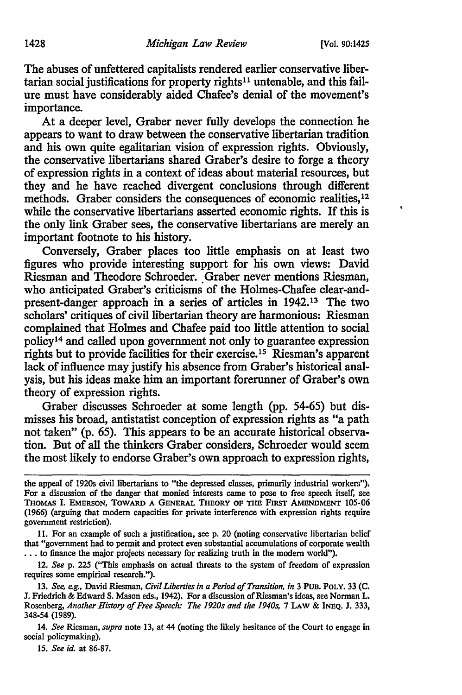The abuses of unfettered capitalists rendered earlier conservative libertarian social justifications for property rights<sup>11</sup> untenable, and this failure must have considerably aided Chafee's denial of the movement's importance.

At a deeper level, Graber never fully develops the connection he appears to want to draw between the conservative libertarian tradition and his own quite egalitarian vision of expression rights. Obviously, the conservative libertarians shared Graber's desire to forge a theory of expression rights in a context of ideas about material resources, but they and he have reached divergent conclusions through different methods. Graber considers the consequences of economic realities,<sup>12</sup> while the conservative libertarians asserted economic rights. If this is the only link Graber sees, the conservative libertarians are merely an important footnote to his history.

Conversely, Graber places too little emphasis on at least two figures who provide interesting support for his own views: David Riesman and Theodore Schroeder. Graber never mentions Riesman, who anticipated Graber's criticisms of the Holmes-Chafee clear-andpresent-danger approach in a series of articles in 1942.13 The two scholars' critiques of civil libertarian theory are harmonious: Riesman complained that Holmes and Chafee paid too little attention to social policy14 and called upon government not only to guarantee expression rights but to provide facilities for their exercise.<sup>15</sup> Riesman's apparent lack of influence may justify his absence from Graber's historical analysis, but his ideas make him an important forerunner of Graber's own theory of expression rights.

Graber discusses Schroeder at some length (pp. 54-65) but dismisses his broad, antistatist conception of expression rights as "a path not taken" (p. 65). This appears to be an accurate historical observation. But of all the thinkers Graber considers, Schroeder would seem the most likely to endorse Graber's own approach to expression rights,

11. For an example of such a justification, see p. 20 (noting conservative libertarian belief that "government had to permit and protect even substantial accumulations of corporate wealth ... to finance the major projects necessary for realizing truth in the modern world").

12. *See* p. 225 (''This emphasis on actual threats to the system of freedom of expression requires some empirical research.").

13. *See, e.g.,* David Riesman, *Civil Liberties in a Period of Transition, in* 3 PUB. POLY. 33 (C. J. Friedrich & Edward S. Mason eds., 1942). For a discussion of Riesman's ideas, see Norman L. Rosenberg, *Another History of Free Speech: The 1920s and the 1940s,* 7 LAW & INEQ. J, 333, 348-54 (1989).

14. *See* Riesman, *supra* note 13, at 44 (noting the likely hesitance of the Court to engage in social policymaking).

15. *See id.* at 86-87.

the appeal of 1920s civil libertarians to "the depressed classes, primarily industrial workers"). For a discussion of the danger that monied interests came to pose to free speech itself, see THOMAS I. EMERSON, TOWARD A GENERAL THEORY OF TIIE FIRST AMENDMENT 105·06 (1966) (arguing that modern capacities for private interference with expression rights require government restriction).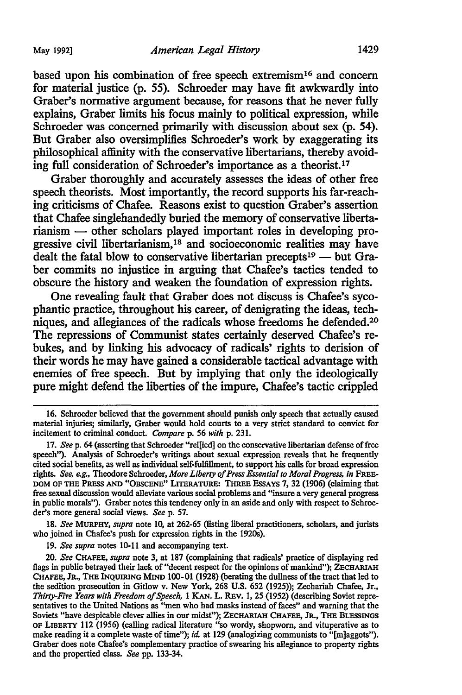## May 1992] *American Legal History* 1429

based upon his combination of free speech extremism<sup>16</sup> and concern for material justice (p. 55). Schroeder may have fit awkwardly into Graber's normative argument because, for reasons that he never fully explains, Graber limits his focus mainly to political expression, while Schroeder was concerned primarily with discussion about sex (p. 54). But Graber also oversimplifies Schroeder's work by exaggerating its philosophical affinity with the conservative libertarians, thereby avoiding full consideration of Schroeder's importance as a theorist.<sup>17</sup>

Graber thoroughly and accurately assesses the ideas of other free speech theorists. Most importantly, the record supports his far-reaching criticisms of Chafee. Reasons exist to question Graber's assertion that Chafee singlehandedly buried the memory of conservative liberta $rianism$   $\longrightarrow$  other scholars played important roles in developing progressive civil libertarianism, 18 and socioeconomic realities may have dealt the fatal blow to conservative libertarian precepts<sup>19</sup> - but Graber commits no injustice in arguing that Chafee's tactics tended to obscure the history and weaken the foundation of expression rights.

One revealing fault that Graber does not discuss is Chafee's sycophantic practice, throughout his career, of denigrating the ideas, techniques, and allegiances of the radicals whose freedoms he defended.20 The repressions of Communist states certainly deserved Chafee's rebukes, and by linking his advocacy of radicals' rights to derision of their words he may have gained a considerable tactical advantage with enemies of free speech. But by implying that only the ideologically pure might defend the liberties of the impure, Chafee's tactic crippled

18. *See* MURPHY, *supra* note 10, at 262-65 (listing liberal practitioners, scholars, and jurists who joined in Chafee's push for expression rights in the 1920s).

19. *See supra* notes 10-11 and accompanying text.

<sup>16.</sup> Schroeder believed that the government should punish only speech that actually caused material injuries; similarly, Graber would hold courts to a very strict standard to convict for incitement to criminal conduct. *Compare* p. 56 *with* p. 231.

<sup>17.</sup> *Seep.* 64 (asserting that Schroeder "rel[ied] on the conservative libertarian defense of free speech"). Analysis of Schroeder's writings about sexual expression reveals that he frequently cited social benefits, as well as individual self-fulfillment, to support his calls for broad expression rights. *See, e.g.,* Theodore Schroeder, *More Liberty of Press Essential to Moral Progress, in* FREE· DOM OF THE PRESS AND "OBSCENE" LITERATURE: THREE ESSAYS 7, 32 (1906) (claiming that free sexual discussion would alleviate various social problems and "insure a very general progress in public morals"). Graber notes this tendency only in an aside and only with respect to Schroeder's more general social views. *See* p. 57.

<sup>20.</sup> *See* CHAFEE, *supra* note 3, at 187 (complaining that radicals' practice of displaying red flags in public betrayed their lack of "decent respect for the opinions of mankind"); ZECHARIAH CHAFEE, JR., THE INQUIRING MIND 100-01 (1928) (berating the dullness of the tract that led to the sedition prosecution in Gitlow v. New York, 268 U.S. 652 (1925)); Zechariah Chafee, Jr., *Thirty-Five Yean with Freedom of Speech,* 1 KAN. L. REv. 1, 25 (1952) (describing Soviet representatives to the United Nations as "men who had masks instead of faces" and warning that the Soviets "have despicable clever allies in our midst"); ZECHARIAH CHAFEE, JR., THE BLESSINGS OF LIBERTY 112 (1956) (calling radical literature "so wordy, shopworn, and vituperative as to make reading it a complete waste of time"); *id.* at 129 (analogizing communists to "[m]aggots"). Graber does note Chafee's complementary practice of swearing his allegiance to property rights and the propertied class. *See* pp. 133-34.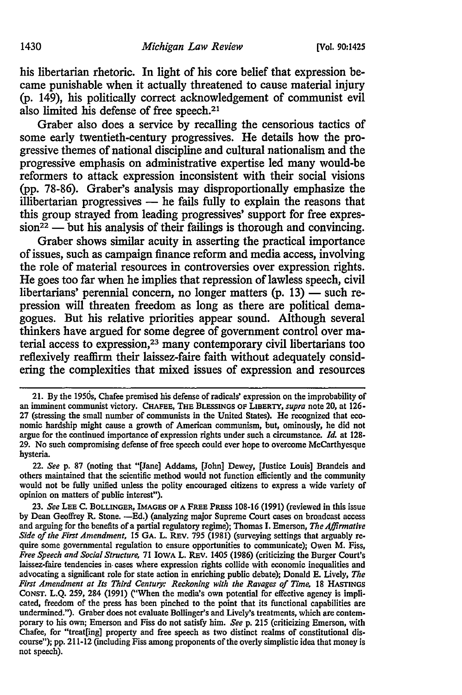his libertarian rhetoric. In light of his core belief that expression became punishable when it actually threatened to cause material injury (p. 149), his politically correct acknowledgement of communist evil also limited his defense of free speech.21

Graber also does a service by recalling the censorious tactics of some early twentieth-century progressives. He details how the progressive themes of national discipline and cultural nationalism and the progressive emphasis on administrative expertise led many would-be reformers to attack expression inconsistent with their social visions (pp. 78-86). Graber's analysis may disproportionally emphasize the  $i$ llibertarian progressives  $\frac{1}{x}$  he fails fully to explain the reasons that this group strayed from leading progressives' support for free expres- $\sin^{2z}$  — but his analysis of their failings is thorough and convincing.

Graber shows similar acuity in asserting the practical importance of issues, such as campaign finance reform and media access, involving the role of material resources in controversies over expression rights. He goes too far when he implies that repression of lawless speech, civil libertarians' perennial concern, no longer matters  $(p. 13)$  — such repression will threaten freedom as long as there are political demagogues. But his relative priorities appear sound. Although several thinkers have argued for some degree of government control over material access to expression,23 many contemporary civil libertarians too reflexively reaffirm their laissez-faire faith without adequately considering the complexities that mixed issues of expression and resources

22. *See* p. 87 (noting that "[Jane] Addams, [John] Dewey, [Justice Louis] Brandeis and others maintained that the scientific method would not function efficiently and the community would not be fully unified unless the polity encouraged citizens to express a wide variety of opinion on matters of public interest").

<sup>21.</sup> By the 1950s, Chafee premised his defense of radicals' expression on the improbability of an imminent communist victory. CHAFEE, THE BLESSINGS OF LIBERTY, *supra* note 20, at 126- 27 (stressing the small number of communists in the United States). He recognized that economic hardship might cause a growth of American communism, but, ominously, he did not argue for the continued importance of expression rights under such a circumstance. *Id.* at 128- 29. No such compromising defense of free speech could ever hope to overcome McCarthyesque hysteria.

<sup>23.</sup> *See* LEE c. BOLLINGER, IMAGES OF A FREE PRESS 108-16 (1991) (reviewed in this issue by Dean Geoffrey R. Stone. -Ed.) (analyzing major Supreme Court cases on broadcast access and arguing for the benefits of a partial regulatory regime); Thomas I. Emerson, *The Affirmative*  Side of the First Amendment, 15 GA. L. REV. 795 (1981) (surveying settings that arguably require some governmental regulation to ensure opportunities to communicate); Owen M. Fiss, *Free Speech and Social Structure,* 71 IOWA L. R.E.v. 1405 (1986) (criticizing the Burger Court's laissez-faire tendencies in- cases where expression rights collide with economic inequalities and advocating a significant role for state action in enriching public debate); Donald E. Lively, *The*  First Amendment at Its Third Century: Reckoning with the Ravages of Time, 18 HASTINGS CoNsr. L.Q. 259, 284 (1991) ("When the media's own potential for effective agency is implicated, freedom of the press has been pinched to the point that its functional capabilities are undermined."). Graber does not evaluate Bollinger's and Lively's treatments, which are contemporary to his own; Emerson and Fiss do not satisfy him. *See* p. 215 (criticizing Emerson, with Chafee, for "treat[ing] property and free speech as two distinct realms of constitutional discourse"); pp. 211-12 (including Fiss among proponents of the overly simplistic idea that money is not speech).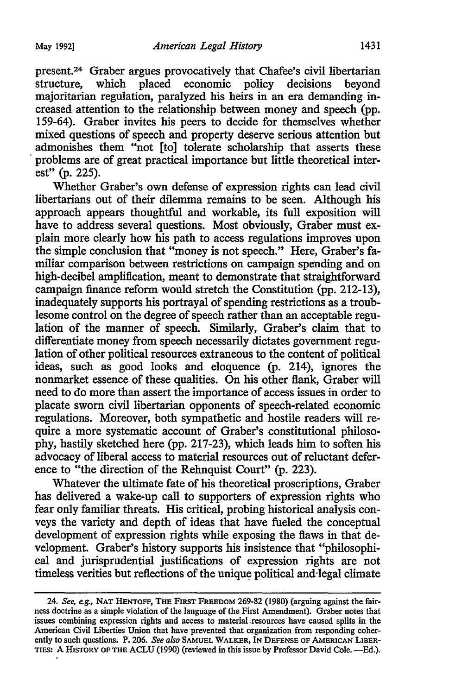present.24 Graber argues provocatively that Chafee's civil libertarian structure, which placed economic policy decisions beyond majoritarian regulation, paralyzed his heirs in an era demanding increased attention to the relationship between money and speech (pp. 159-64). Graber invites his peers to decide for themselves whether mixed questions of speech and property deserve serious attention but admonishes them "not [to] tolerate scholarship that asserts these problems are of great practical importance but little theoretical interest" (p. 225).

Whether Graber's own defense of expression rights can lead civil libertarians out of their dilemma remains to be seen. Although his approach appears thoughtful and workable, its full exposition will have to address several questions. Most obviously, Graber must explain more clearly how his path to access regulations improves upon the simple conclusion that "money is not speech." Here, Graber's familiar comparison between restrictions on campaign spending and on high-decibel amplification, meant to demonstrate that straightforward campaign finance reform would stretch the Constitution (pp. 212-13), inadequately supports his portrayal of spending restrictions as a troublesome control on the degree of speech rather than an acceptable regulation of the manner of speech. Similarly, Graber's claim that to differentiate money from speech necessarily dictates government regulation of other political resources extraneous to the content of political ideas, such as good looks and eloquence (p. 214), ignores the nonmarket essence of these qualities. On his other flank, Graber will need to do more than assert the importance of access issues in order to placate sworn civil libertarian opponents of speech-related economic regulations. Moreover, both sympathetic and hostile readers will require a more systematic account of Graber's constitutional philosophy, hastily sketched here (pp. 217-23), which leads him to soften his advocacy of liberal access to material resources out of reluctant deference to "the direction of the Rehnquist Court" (p. 223).

Whatever the ultimate fate of his theoretical proscriptions, Graber has delivered a wake-up call to supporters of expression rights who fear only familiar threats. His critical, probing historical analysis conveys the variety and depth of ideas that have fueled the conceptual development of expression rights while exposing the flaws in that development. Graber's history supports his insistence that "philosophical and jurisprudential justifications of expression rights are not timeless verities but reflections of the unique political and·legal climate

<sup>24.</sup> *See, e.g.,* NAT HENTOFF, THE FIRST FREEDOM 269-82 (1980) (arguing against the fairness doctrine as a simple violation of the language of the First Amendment). Graber notes that issues combining expression rights and access to material resources have caused splits in the American Civil Liberties Union that have prevented that organization from responding coherently to such questions. P. 206. *See also* SAMUEL WALKER, IN DEFENSE OF AMERICAN LIBER-TIES: A HISTORY OF THE ACLU (1990) (reviewed in this issue by Professor David Cole. -Ed.).